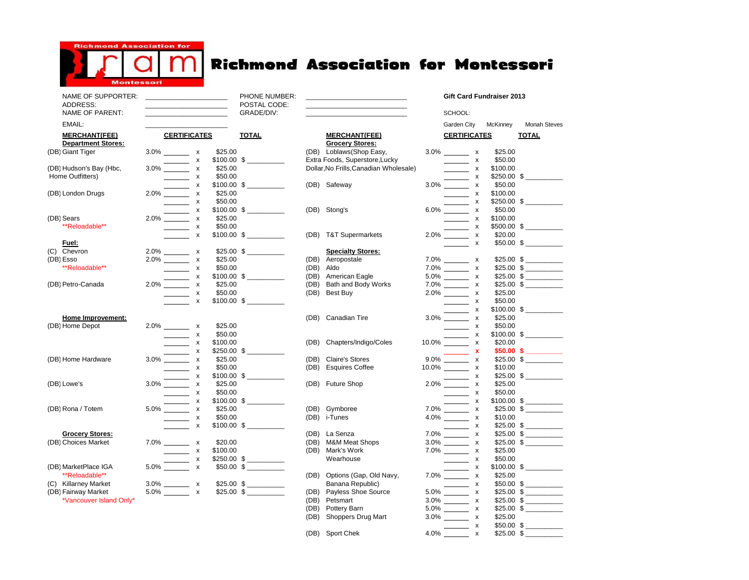

## **Richmond Association for Montessori**

| NAME OF SUPPORTER:<br>ADDRESS:                    |                     |                                               |              | PHONE NUMBER:<br>POSTAL CODE: |                                                | the control of the control of the control of the control of the control of |                     | Gift Card Fundraiser 2013                                       |                          |  |
|---------------------------------------------------|---------------------|-----------------------------------------------|--------------|-------------------------------|------------------------------------------------|----------------------------------------------------------------------------|---------------------|-----------------------------------------------------------------|--------------------------|--|
| NAME OF PARENT:                                   |                     | <u> 1989 - Johann John Stone, mars et al.</u> |              | GRADE/DIV:                    |                                                | the control of the control of the control of the control of the control of |                     | SCHOOL:                                                         |                          |  |
| EMAIL:                                            |                     |                                               |              |                               |                                                |                                                                            |                     | Garden City<br>McKinney                                         | <b>Monah Steves</b>      |  |
| <b>MERCHANT(FEE)</b><br><b>Department Stores:</b> | <b>CERTIFICATES</b> |                                               | <b>TOTAL</b> |                               | <b>MERCHANT(FEE)</b><br><b>Grocery Stores:</b> |                                                                            | <b>CERTIFICATES</b> | <b>TOTAL</b>                                                    |                          |  |
| (DB) Giant Tiger                                  |                     | $3.0\%$ x                                     | \$25.00      |                               |                                                | (DB) Loblaws (Shop Easy,                                                   |                     | $3.0\%$ x<br>\$25.00                                            |                          |  |
|                                                   |                     | $\frac{1}{1}$ x                               |              | $$100.00$ \$                  |                                                | Extra Foods, Superstore, Lucky                                             |                     | \$50.00<br>$\frac{1}{1}$ x                                      |                          |  |
| (DB) Hudson's Bay (Hbc,                           |                     | $3.0\%$ x                                     | \$25.00      |                               |                                                | Dollar, No Frills, Canadian Wholesale)                                     |                     | $\overline{\phantom{1}}$ x<br>\$100.00                          |                          |  |
| Home Outfitters)                                  |                     | $\sim$ $\sim$ $\sim$ $\sim$                   | \$50.00      |                               |                                                |                                                                            |                     | $\pmb{\mathsf{x}}$                                              | \$250.00 \$              |  |
|                                                   |                     |                                               |              |                               |                                                | (DB) Safeway                                                               |                     | \$50.00                                                         |                          |  |
| (DB) London Drugs                                 |                     | $2.0\%$ $\begin{array}{c} x \\ x \end{array}$ | \$25.00      |                               |                                                |                                                                            |                     | \$100.00<br>$\overline{\phantom{a}}$ x                          |                          |  |
|                                                   |                     | $\frac{1}{1}$ x                               | \$50.00      |                               |                                                |                                                                            |                     | $\overline{\phantom{a}}$ x                                      | $$250.00$ \$             |  |
|                                                   |                     | $2.0\%$ $\frac{x}{x}$                         |              | $$100.00$ \$                  |                                                | (DB) Stong's                                                               |                     | $6.0\%$ x<br>\$50.00                                            |                          |  |
| (DB) Sears                                        |                     |                                               | \$25.00      |                               |                                                |                                                                            |                     | \$100.00<br>$\frac{1}{1}$ x                                     |                          |  |
| **Reloadable**                                    |                     | $\overline{\phantom{1}}$ x                    | \$50.00      |                               |                                                |                                                                            |                     | $\overline{\phantom{a}}$ x                                      | $$500.00$ \$             |  |
|                                                   |                     | $\mathsf{X}$                                  |              |                               |                                                | (DB) T&T Supermarkets                                                      |                     | $2.0\%$ x<br>\$20.00                                            |                          |  |
| Fuel:                                             |                     |                                               |              |                               |                                                |                                                                            |                     | $\frac{1}{\sqrt{1-\frac{1}{2}}}\times$                          | $$50.00$ \$              |  |
| (C) Chevron                                       |                     |                                               |              | $$25.00$ \$                   |                                                | <b>Specialty Stores:</b>                                                   |                     |                                                                 |                          |  |
| (DB) Esso                                         |                     | $2.0\%$ x<br>2.0% x                           | \$25.00      |                               |                                                | (DB) Aeropostale                                                           |                     | $7.0\%$ x                                                       | \$25.00 \$               |  |
| **Reloadable**                                    |                     |                                               | \$50.00      |                               | (DB)                                           | Aldo                                                                       |                     | $7.0\%$ X                                                       | $$25.00$ \$              |  |
|                                                   |                     | $2.0\%$ $\frac{x}{x}$                         |              | $$100.00$ \$                  | (DB)                                           | American Eagle                                                             |                     | $\pmb{\chi}$                                                    | \$25.00 \$               |  |
| (DB) Petro-Canada                                 |                     |                                               | \$25.00      |                               | (DB)                                           | Bath and Body Works                                                        |                     | $\pmb{\chi}$                                                    | $$25.00$ \$              |  |
|                                                   |                     | $\frac{1}{\sqrt{1-x}}$ $\frac{x}{x}$          | \$50.00      |                               | (DB)                                           | Best Buv                                                                   |                     | $2.0\%$ $\hspace{1.5cm}$ x<br>\$25.00                           |                          |  |
|                                                   |                     |                                               |              | $$100.00$$ $$$                |                                                |                                                                            |                     | \$50.00<br>$\overline{\phantom{a}}$ x                           |                          |  |
|                                                   |                     |                                               |              |                               |                                                |                                                                            |                     | $\overline{\phantom{a}}$ x                                      | \$100.00 \$              |  |
| Home Improvement:                                 |                     |                                               |              |                               |                                                | (DB) Canadian Tire                                                         |                     | \$25.00<br>$\pmb{\mathsf{x}}$                                   |                          |  |
| (DB) Home Depot                                   |                     | $2.0\%$ x                                     | \$25.00      |                               |                                                |                                                                            |                     | \$50.00<br>$\frac{1}{1}$ x                                      |                          |  |
|                                                   |                     | $\overline{\phantom{a}}$ x                    | \$50.00      |                               |                                                |                                                                            |                     | $10.0\%$ $\frac{x}{x}$                                          |                          |  |
|                                                   |                     | $\overline{\phantom{a}}$ x                    | \$100.00     |                               | (DB)                                           | Chapters/Indigo/Coles                                                      |                     | \$20.00                                                         |                          |  |
|                                                   |                     | $\overline{\phantom{1}}$ x                    |              | $$250.00$ \$                  |                                                |                                                                            |                     | 9.0% $\frac{\mathsf{x}}{\mathsf{x}}$                            | $$50.00$$ \$             |  |
| (DB) Home Hardware                                |                     | $3.0\%$ x                                     | \$25.00      |                               | (DB)                                           | <b>Claire's Stores</b>                                                     |                     |                                                                 | \$25.00 \$               |  |
|                                                   |                     | $\sim$ $\sim$ $x$                             | \$50.00      |                               | (DB)                                           | <b>Esquires Coffee</b>                                                     |                     | $10.0\%$ x<br>\$10.00                                           |                          |  |
|                                                   |                     | $3.0\%$ $\begin{array}{c} x \\ x \end{array}$ |              | $$100.00$ \$                  |                                                |                                                                            |                     | $2.0\%$ $\frac{x}{x}$                                           | $$25.00$ \$ ________     |  |
| (DB) Lowe's                                       |                     |                                               | \$25.00      |                               |                                                | (DB) Future Shop                                                           |                     | \$25.00                                                         |                          |  |
|                                                   |                     | $\frac{1}{\sqrt{2}}$ x                        | \$50.00      |                               |                                                |                                                                            |                     | \$50.00<br>$\pmb{\mathsf{x}}$                                   |                          |  |
|                                                   |                     | $5.0\%$ $\begin{array}{c} x \\ x \end{array}$ |              |                               |                                                |                                                                            |                     | $\overline{\phantom{a}}$<br>$\pmb{\mathsf{x}}$                  | $$100.00$$ $$$           |  |
| (DB) Rona / Totem                                 |                     |                                               | \$25.00      |                               | (DB)                                           | Gymboree                                                                   |                     | $7.0\%$ x                                                       | $$25.00$ \$              |  |
|                                                   |                     | $\overline{\phantom{a}}$ x                    | \$50.00      |                               |                                                | (DB) i-Tunes                                                               |                     | 4.0% _______ x<br>\$10.00                                       |                          |  |
|                                                   |                     | $\boldsymbol{\mathsf{x}}$                     |              | $$100.00$$ $$$                |                                                |                                                                            |                     | х                                                               | $$25.00$ \$              |  |
| <b>Grocery Stores:</b>                            |                     |                                               |              |                               | (DB)                                           | La Senza                                                                   |                     | $7.0\%$ x                                                       | \$25.00 \$               |  |
| (DB) Choices Market                               |                     | $7.0\%$ x                                     | \$20.00      |                               | (DB)                                           | <b>M&amp;M Meat Shops</b>                                                  |                     | $3.0\%$ x                                                       | $$25.00$ \$              |  |
|                                                   |                     | $\overline{\phantom{a}}$ x                    | \$100.00     |                               | (DB)                                           | Mark's Work                                                                |                     | $7.0\%$ x<br>\$25.00                                            |                          |  |
|                                                   |                     | $\overline{\phantom{a}}$ x<br>$5.0\%$ x       |              |                               |                                                | Wearhouse                                                                  |                     | \$50.00<br>$\overline{\phantom{a}}$ x                           |                          |  |
| (DB) MarketPlace IGA                              |                     |                                               |              | $$50.00$$ $$$ ________        |                                                |                                                                            |                     | $7.0\%$ $\begin{array}{c} x \\ x \end{array}$                   |                          |  |
| **Reloadable**                                    |                     |                                               |              |                               | (DB)                                           | Options (Gap, Old Navy,                                                    |                     | \$25.00                                                         |                          |  |
| (C) Killarney Market                              |                     | $3.0\%$ x                                     |              | $$25.00$ $$$ __________       |                                                | Banana Republic)                                                           |                     | $\sim$ x                                                        |                          |  |
| (DB) Fairway Market                               |                     | $5.0\%$ x                                     |              |                               | (DB)                                           | Payless Shoe Source                                                        |                     | $\mathbf{x}$                                                    | \$25.00 \$               |  |
| *Vancouver Island Only*                           |                     |                                               |              |                               | (DB)                                           | Petsmart                                                                   |                     | $\boldsymbol{\mathsf{x}}$                                       | \$25.00 \$<br>\$25.00 \$ |  |
|                                                   |                     |                                               |              |                               | (DB)<br>(DB)                                   | Pottery Barn<br>Shoppers Drug Mart                                         |                     | $5.0\%$ $\hspace{1.5cm}$ x<br>$3.0\%$ x<br>\$25.00              |                          |  |
|                                                   |                     |                                               |              |                               |                                                |                                                                            |                     |                                                                 | $$50.00$$ $$$            |  |
|                                                   |                     |                                               |              |                               |                                                | (DB) Sport Chek                                                            | 4.0%                | $\overline{\phantom{a}}$ x<br>$$25.00$ \$<br>$\pmb{\mathsf{x}}$ |                          |  |
|                                                   |                     |                                               |              |                               |                                                |                                                                            |                     |                                                                 |                          |  |